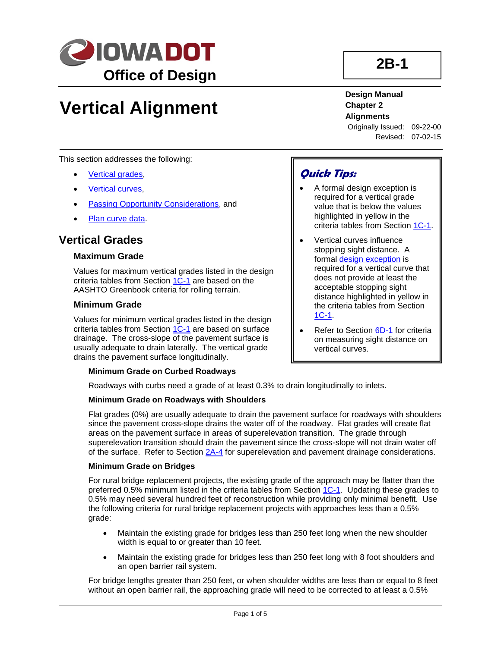

# **Vertical Alignment**

**2B-1**

## **Design Manual Chapter 2 Alignments**

Originally Issued: 09-22-00 Revised: 07-02-15

This section addresses the following:

- [Vertical grades,](#page-0-0)
- **[Vertical curves,](#page-1-0)**
- [Passing Opportunity Considerations,](#page-4-0) and
- [Plan curve data.](#page-4-0)

## <span id="page-0-0"></span>**Vertical Grades**

#### **Maximum Grade**

Values for maximum vertical grades listed in the design criteria tables from Section 1C-1 are based on the AASHTO Greenbook criteria for rolling terrain.

#### **Minimum Grade**

Values for minimum vertical grades listed in the design criteria tables from Section 1C-1 are based on surface drainage. The cross-slope of the pavement surface is usually adequate to drain laterally. The vertical grade drains the pavement surface longitudinally.

#### **Minimum Grade on Curbed Roadways**

Roadways with curbs need a grade of at least 0.3% to drain longitudinally to inlets.

#### **Minimum Grade on Roadways with Shoulders**

Flat grades (0%) are usually adequate to drain the pavement surface for roadways with shoulders since the pavement cross-slope drains the water off of the roadway. Flat grades will create flat areas on the pavement surface in areas of superelevation transition. The grade through superelevation transition should drain the pavement since the cross-slope will not drain water off of the surface. Refer to Section 2A-4 for superelevation and pavement drainage considerations.

#### **Minimum Grade on Bridges**

For rural bridge replacement projects, the existing grade of the approach may be flatter than the preferred 0.5% minimum listed in the criteria tables from Section 1C-1. Updating these grades to 0.5% may need several hundred feet of reconstruction while providing only minimal benefit. Use the following criteria for rural bridge replacement projects with approaches less than a 0.5% grade:

- Maintain the existing grade for bridges less than 250 feet long when the new shoulder width is equal to or greater than 10 feet.
- Maintain the existing grade for bridges less than 250 feet long with 8 foot shoulders and an open barrier rail system.

For bridge lengths greater than 250 feet, or when shoulder widths are less than or equal to 8 feet without an open barrier rail, the approaching grade will need to be corrected to at least a 0.5%

# **Quick Tips:**

- A formal design exception is required for a vertical grade value that is below the values highlighted in yellow in the criteria tables from Section 1C-1.
- Vertical curves influence stopping sight distance. A formal design exception is required for a vertical curve that does not provide at least the acceptable stopping sight distance highlighted in yellow in the criteria tables from Section 1C-1.
- Refer to Section 6D-1 for criteria on measuring sight distance on vertical curves.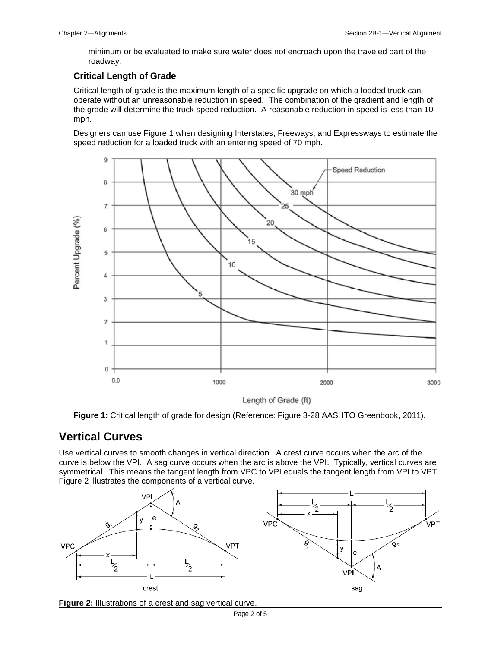minimum or be evaluated to make sure water does not encroach upon the traveled part of the roadway.

### **Critical Length of Grade**

Critical length of grade is the maximum length of a specific upgrade on which a loaded truck can operate without an unreasonable reduction in speed. The combination of the gradient and length of the grade will determine the truck speed reduction. A reasonable reduction in speed is less than 10 mph.

Designers can use Figure 1 when designing Interstates, Freeways, and Expressways to estimate the speed reduction for a loaded truck with an entering speed of 70 mph.



Length of Grade (ft)

**Figure 1:** Critical length of grade for design (Reference: Figure 3-28 AASHTO Greenbook, 2011).

## <span id="page-1-0"></span>**Vertical Curves**

Use vertical curves to smooth changes in vertical direction. A crest curve occurs when the arc of the curve is below the VPI. A sag curve occurs when the arc is above the VPI. Typically, vertical curves are symmetrical. This means the tangent length from VPC to VPI equals the tangent length from VPI to VPT. Figure 2 illustrates the components of a vertical curve.



**Figure 2:** Illustrations of a crest and sag vertical curve.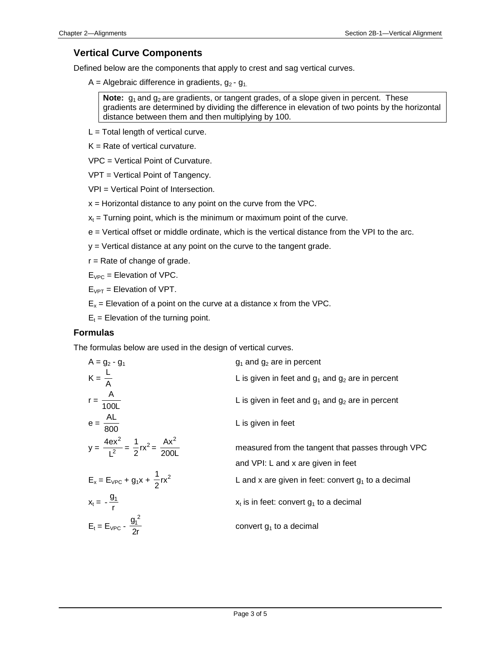### **Vertical Curve Components**

Defined below are the components that apply to crest and sag vertical curves.

A = Algebraic difference in gradients,  $g_2 - g_1$ .

**Note:**  $g_1$  and  $g_2$  are gradients, or tangent grades, of a slope given in percent. These gradients are determined by dividing the difference in elevation of two points by the horizontal distance between them and then multiplying by 100.

- $L = \text{Total length of vertical curve.}$
- $K =$  Rate of vertical curvature.

VPC = Vertical Point of Curvature.

VPT = Vertical Point of Tangency.

VPI = Vertical Point of Intersection.

- $x =$  Horizontal distance to any point on the curve from the VPC.
- $x<sub>t</sub>$  = Turning point, which is the minimum or maximum point of the curve.
- e = Vertical offset or middle ordinate, which is the vertical distance from the VPI to the arc.

y = Vertical distance at any point on the curve to the tangent grade.

 $r =$  Rate of change of grade.

 $E_{VPC}$  = Elevation of VPC.

 $E_{VPT}$  = Elevation of VPT.

 $E_x$  = Elevation of a point on the curve at a distance x from the VPC.

 $E_t$  = Elevation of the turning point.

### **Formulas**

The formulas below are used in the design of vertical curves.

| $A = g_2 - g_1$                                               | $g_1$ and $g_2$ are in percent                        |
|---------------------------------------------------------------|-------------------------------------------------------|
| $K = \frac{L}{A}$                                             | L is given in feet and $g_1$ and $g_2$ are in percent |
| $r = \frac{A}{100L}$                                          | L is given in feet and $g_1$ and $g_2$ are in percent |
| $e = \frac{AL}{800}$                                          | L is given in feet                                    |
| $y = \frac{4ex^2}{1^2} = \frac{1}{2}rx^2 = \frac{Ax^2}{2001}$ | measured from the tangent that passes through VPC     |
|                                                               | and VPI: L and x are given in feet                    |
| $E_x = E_{VPC} + g_1 x + \frac{1}{2} r x^2$                   | L and x are given in feet: convert $g_1$ to a decimal |
| $X_t = -\frac{g_1}{r}$                                        | $x_t$ is in feet: convert $g_1$ to a decimal          |
| $E_t = E_{VPC} - \frac{g_1^2}{2r}$                            | convert $g_1$ to a decimal                            |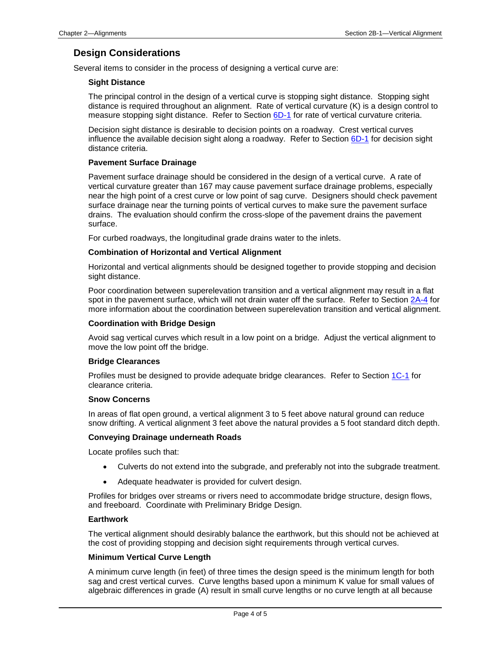## **Design Considerations**

Several items to consider in the process of designing a vertical curve are:

#### **Sight Distance**

The principal control in the design of a vertical curve is stopping sight distance. Stopping sight distance is required throughout an alignment. Rate of vertical curvature (K) is a design control to measure stopping sight distance. Refer to Section 6D-1 for rate of vertical curvature criteria.

Decision sight distance is desirable to decision points on a roadway. Crest vertical curves influence the available decision sight along a roadway. Refer to Section  $6D-1$  for decision sight distance criteria.

### **Pavement Surface Drainage**

Pavement surface drainage should be considered in the design of a vertical curve. A rate of vertical curvature greater than 167 may cause pavement surface drainage problems, especially near the high point of a crest curve or low point of sag curve. Designers should check pavement surface drainage near the turning points of vertical curves to make sure the pavement surface drains. The evaluation should confirm the cross-slope of the pavement drains the pavement surface.

For curbed roadways, the longitudinal grade drains water to the inlets.

#### **Combination of Horizontal and Vertical Alignment**

Horizontal and vertical alignments should be designed together to provide stopping and decision sight distance.

Poor coordination between superelevation transition and a vertical alignment may result in a flat spot in the pavement surface, which will not drain water off the surface. Refer to Section 2A-4 for more information about the coordination between superelevation transition and vertical alignment.

#### **Coordination with Bridge Design**

Avoid sag vertical curves which result in a low point on a bridge. Adjust the vertical alignment to move the low point off the bridge.

#### **Bridge Clearances**

Profiles must be designed to provide adequate bridge clearances. Refer to Section 1C-1 for clearance criteria.

#### **Snow Concerns**

In areas of flat open ground, a vertical alignment 3 to 5 feet above natural ground can reduce snow drifting. A vertical alignment 3 feet above the natural provides a 5 foot standard ditch depth.

#### **Conveying Drainage underneath Roads**

Locate profiles such that:

- Culverts do not extend into the subgrade, and preferably not into the subgrade treatment.
- Adequate headwater is provided for culvert design.

Profiles for bridges over streams or rivers need to accommodate bridge structure, design flows, and freeboard. Coordinate with Preliminary Bridge Design.

#### **Earthwork**

The vertical alignment should desirably balance the earthwork, but this should not be achieved at the cost of providing stopping and decision sight requirements through vertical curves.

#### **Minimum Vertical Curve Length**

A minimum curve length (in feet) of three times the design speed is the minimum length for both sag and crest vertical curves. Curve lengths based upon a minimum K value for small values of algebraic differences in grade (A) result in small curve lengths or no curve length at all because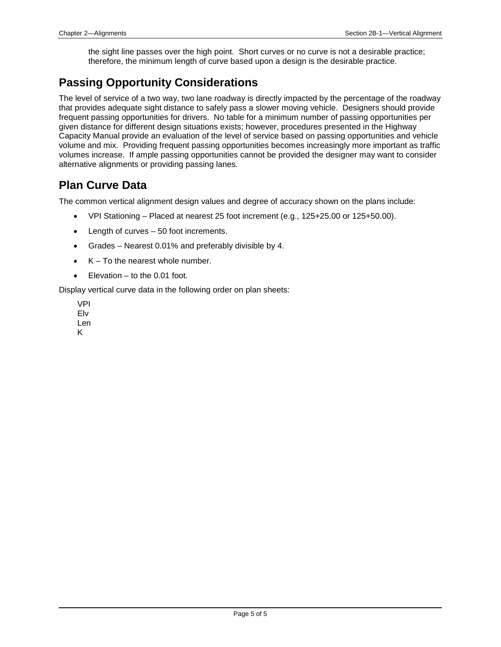the sight line passes over the high point. Short curves or no curve is not a desirable practice; therefore, the minimum length of curve based upon a design is the desirable practice.

## <span id="page-4-0"></span>**Passing Opportunity Considerations**

The level of service of a two way, two lane roadway is directly impacted by the percentage of the roadway that provides adequate sight distance to safely pass a slower moving vehicle. Designers should provide frequent passing opportunities for drivers. No table for a minimum number of passing opportunities per given distance for different design situations exists; however, procedures presented in the Highway Capacity Manual provide an evaluation of the level of service based on passing opportunities and vehicle volume and mix. Providing frequent passing opportunities becomes increasingly more important as traffic volumes increase. If ample passing opportunities cannot be provided the designer may want to consider alternative alignments or providing passing lanes.

# **Plan Curve Data**

The common vertical alignment design values and degree of accuracy shown on the plans include:

- VPI Stationing Placed at nearest 25 foot increment (e.g., 125+25.00 or 125+50.00).
- Length of curves 50 foot increments.
- Grades Nearest 0.01% and preferably divisible by 4.
- $K To$  the nearest whole number.
- Elevation  $-$  to the 0.01 foot.

Display vertical curve data in the following order on plan sheets:

VPI Elv Len K